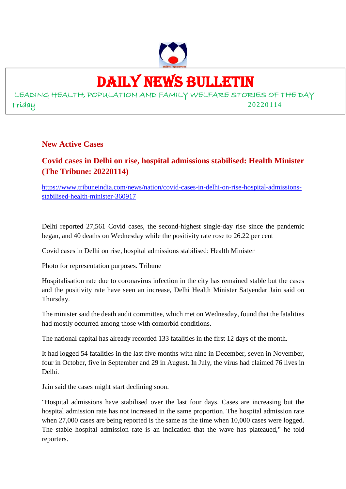

# DAILY NEWS BULLETIN

LEADING HEALTH, POPULATION AND FAMILY WELFARE STORIES OF THE DAY Friday 20220114

**New Active Cases**

# **Covid cases in Delhi on rise, hospital admissions stabilised: Health Minister (The Tribune: 20220114)**

https://www.tribuneindia.com/news/nation/covid-cases-in-delhi-on-rise-hospital-admissionsstabilised-health-minister-360917

Delhi reported 27,561 Covid cases, the second-highest single-day rise since the pandemic began, and 40 deaths on Wednesday while the positivity rate rose to 26.22 per cent

Covid cases in Delhi on rise, hospital admissions stabilised: Health Minister

Photo for representation purposes. Tribune

Hospitalisation rate due to coronavirus infection in the city has remained stable but the cases and the positivity rate have seen an increase, Delhi Health Minister Satyendar Jain said on Thursday.

The minister said the death audit committee, which met on Wednesday, found that the fatalities had mostly occurred among those with comorbid conditions.

The national capital has already recorded 133 fatalities in the first 12 days of the month.

It had logged 54 fatalities in the last five months with nine in December, seven in November, four in October, five in September and 29 in August. In July, the virus had claimed 76 lives in Delhi.

Jain said the cases might start declining soon.

"Hospital admissions have stabilised over the last four days. Cases are increasing but the hospital admission rate has not increased in the same proportion. The hospital admission rate when 27,000 cases are being reported is the same as the time when 10,000 cases were logged. The stable hospital admission rate is an indication that the wave has plateaued," he told reporters.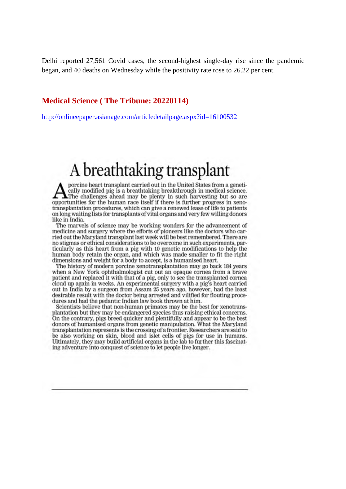Delhi reported 27,561 Covid cases, the second-highest single-day rise since the pandemic began, and 40 deaths on Wednesday while the positivity rate rose to 26.22 per cent.

#### **Medical Science ( The Tribune: 20220114)**

http://onlineepaper.asianage.com/articledetailpage.aspx?id=16100532

# A breathtaking transplant

porcine heart transplant carried out in the United States from a genetically modified pig is a breathtaking breakthrough in medical science.  $\blacktriangle$ The challenges ahead may be plenty in such harvesting but so are opportunities for the human race itself if there is further progress in xenotransplantation procedures, which can give a renewed lease of life to patients on long waiting lists for transplants of vital organs and very few willing donors like in India.

The marvels of science may be working wonders for the advancement of medicine and surgery where the efforts of pioneers like the doctors who carried out the Maryland transplant last week will be best remembered. There are no stigmas or ethical considerations to be overcome in such experiments, particularly as this heart from a pig with 10 genetic modifications to help the human body retain the organ, and which was made smaller to fit the right dimensions and weight for a body to accept, is a humanised heart.

The history of modern porcine xenotransplantation may go back 184 years when a New York ophthalmologist cut out an opaque cornea from a brave patient and replaced it with that of a pig, only to see the transplanted cornea cloud up again in weeks. An experimental surgery with a pig's heart carried out in India by a surgeon from Assam 25 years ago, however, had the least desirable result with the doctor being arrested and vilified for flouting procedures and had the pedantic Indian law book thrown at him.

Scientists believe that non-human primates may be the best for xenotransplantation but they may be endangered species thus raising ethical concerns. On the contrary, pigs breed quicker and plentifully and appear to be the best donors of humanised organs from genetic manipulation. What the Maryland transplantation represents is the crossing of a frontier. Researchers are said to be also working on skin, blood and islet cells of pigs for use in humans. Ultimately, they may build artificial organs in the lab to further this fascinating adventure into conquest of science to let people live longer.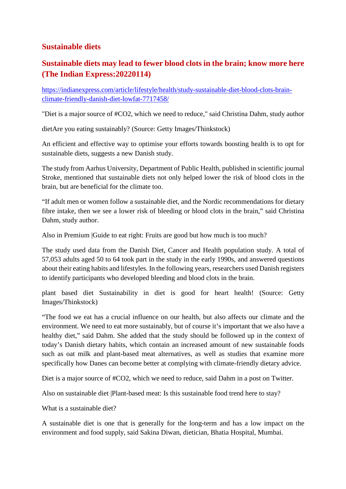## **Sustainable diets**

## **Sustainable diets may lead to fewer blood clots in the brain; know more here (The Indian Express:20220114)**

https://indianexpress.com/article/lifestyle/health/study-sustainable-diet-blood-clots-brainclimate-friendly-danish-diet-lowfat-7717458/

"Diet is a major source of #CO2, which we need to reduce," said Christina Dahm, study author

dietAre you eating sustainably? (Source: Getty Images/Thinkstock)

An efficient and effective way to optimise your efforts towards boosting health is to opt for sustainable diets, suggests a new Danish study.

The study from Aarhus University, Department of Public Health, published in scientific journal Stroke, mentioned that sustainable diets not only helped lower the risk of blood clots in the brain, but are beneficial for the climate too.

"If adult men or women follow a sustainable diet, and the Nordic recommendations for dietary fibre intake, then we see a lower risk of bleeding or blood clots in the brain," said Christina Dahm, study author.

Also in Premium |Guide to eat right: Fruits are good but how much is too much?

The study used data from the Danish Diet, Cancer and Health population study. A total of 57,053 adults aged 50 to 64 took part in the study in the early 1990s, and answered questions about their eating habits and lifestyles. In the following years, researchers used Danish registers to identify participants who developed bleeding and blood clots in the brain.

plant based diet Sustainability in diet is good for heart health! (Source: Getty Images/Thinkstock)

"The food we eat has a crucial influence on our health, but also affects our climate and the environment. We need to eat more sustainably, but of course it's important that we also have a healthy diet," said Dahm. She added that the study should be followed up in the context of today's Danish dietary habits, which contain an increased amount of new sustainable foods such as oat milk and plant-based meat alternatives, as well as studies that examine more specifically how Danes can become better at complying with climate-friendly dietary advice.

Diet is a major source of #CO2, which we need to reduce, said Dahm in a post on Twitter.

Also on sustainable diet |Plant-based meat: Is this sustainable food trend here to stay?

What is a sustainable diet?

A sustainable diet is one that is generally for the long-term and has a low impact on the environment and food supply, said Sakina Diwan, dietician, Bhatia Hospital, Mumbai.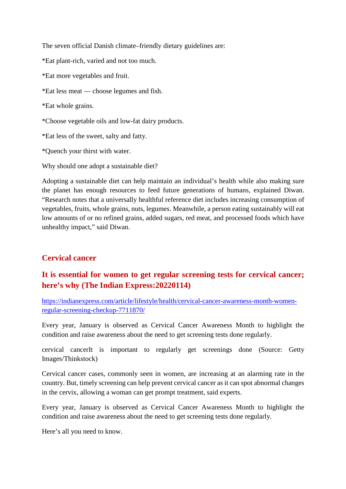The seven official Danish climate–friendly dietary guidelines are:

\*Eat plant-rich, varied and not too much.

\*Eat more vegetables and fruit.

\*Eat less meat — choose legumes and fish.

\*Eat whole grains.

\*Choose vegetable oils and low-fat dairy products.

\*Eat less of the sweet, salty and fatty.

\*Quench your thirst with water.

Why should one adopt a sustainable diet?

Adopting a sustainable diet can help maintain an individual's health while also making sure the planet has enough resources to feed future generations of humans, explained Diwan. "Research notes that a universally healthful reference diet includes increasing consumption of vegetables, fruits, whole grains, nuts, legumes. Meanwhile, a person eating sustainably will eat low amounts of or no refined grains, added sugars, red meat, and processed foods which have unhealthy impact," said Diwan.

## **Cervical cancer**

## **It is essential for women to get regular screening tests for cervical cancer; here's why (The Indian Express:20220114)**

https://indianexpress.com/article/lifestyle/health/cervical-cancer-awareness-month-womenregular-screening-checkup-7711870/

Every year, January is observed as Cervical Cancer Awareness Month to highlight the condition and raise awareness about the need to get screening tests done regularly.

cervical cancerIt is important to regularly get screenings done (Source: Getty Images/Thinkstock)

Cervical cancer cases, commonly seen in women, are increasing at an alarming rate in the country. But, timely screening can help prevent cervical cancer as it can spot abnormal changes in the cervix, allowing a woman can get prompt treatment, said experts.

Every year, January is observed as Cervical Cancer Awareness Month to highlight the condition and raise awareness about the need to get screening tests done regularly.

Here's all you need to know.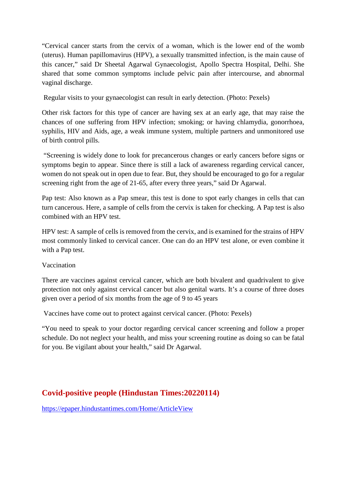"Cervical cancer starts from the cervix of a woman, which is the lower end of the womb (uterus). Human papillomavirus (HPV), a sexually transmitted infection, is the main cause of this cancer," said Dr Sheetal Agarwal Gynaecologist, Apollo Spectra Hospital, Delhi. She shared that some common symptoms include pelvic pain after intercourse, and abnormal vaginal discharge.

Regular visits to your gynaecologist can result in early detection. (Photo: Pexels)

Other risk factors for this type of cancer are having sex at an early age, that may raise the chances of one suffering from HPV infection; smoking; or having chlamydia, gonorrhoea, syphilis, HIV and Aids, age, a weak immune system, multiple partners and unmonitored use of birth control pills.

"Screening is widely done to look for precancerous changes or early cancers before signs or symptoms begin to appear. Since there is still a lack of awareness regarding cervical cancer, women do not speak out in open due to fear. But, they should be encouraged to go for a regular screening right from the age of 21-65, after every three years," said Dr Agarwal.

Pap test: Also known as a Pap smear, this test is done to spot early changes in cells that can turn cancerous. Here, a sample of cells from the cervix is taken for checking. A Pap test is also combined with an HPV test.

HPV test: A sample of cells is removed from the cervix, and is examined for the strains of HPV most commonly linked to cervical cancer. One can do an HPV test alone, or even combine it with a Pap test.

#### Vaccination

There are vaccines against cervical cancer, which are both bivalent and quadrivalent to give protection not only against cervical cancer but also genital warts. It's a course of three doses given over a period of six months from the age of 9 to 45 years

Vaccines have come out to protect against cervical cancer. (Photo: Pexels)

"You need to speak to your doctor regarding cervical cancer screening and follow a proper schedule. Do not neglect your health, and miss your screening routine as doing so can be fatal for you. Be vigilant about your health," said Dr Agarwal.

# **Covid-positive people (Hindustan Times:20220114)**

https://epaper.hindustantimes.com/Home/ArticleView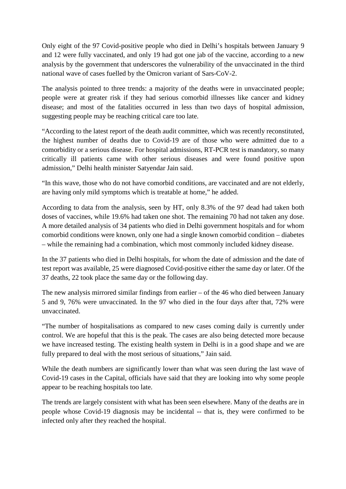Only eight of the 97 Covid-positive people who died in Delhi's hospitals between January 9 and 12 were fully vaccinated, and only 19 had got one jab of the vaccine, according to a new analysis by the government that underscores the vulnerability of the unvaccinated in the third national wave of cases fuelled by the Omicron variant of Sars-CoV-2.

The analysis pointed to three trends: a majority of the deaths were in unvaccinated people; people were at greater risk if they had serious comorbid illnesses like cancer and kidney disease; and most of the fatalities occurred in less than two days of hospital admission, suggesting people may be reaching critical care too late.

"According to the latest report of the death audit committee, which was recently reconstituted, the highest number of deaths due to Covid-19 are of those who were admitted due to a comorbidity or a serious disease. For hospital admissions, RT-PCR test is mandatory, so many critically ill patients came with other serious diseases and were found positive upon admission," Delhi health minister Satyendar Jain said.

"In this wave, those who do not have comorbid conditions, are vaccinated and are not elderly, are having only mild symptoms which is treatable at home," he added.

According to data from the analysis, seen by HT, only 8.3% of the 97 dead had taken both doses of vaccines, while 19.6% had taken one shot. The remaining 70 had not taken any dose. A more detailed analysis of 34 patients who died in Delhi government hospitals and for whom comorbid conditions were known, only one had a single known comorbid condition – diabetes – while the remaining had a combination, which most commonly included kidney disease.

In the 37 patients who died in Delhi hospitals, for whom the date of admission and the date of test report was available, 25 were diagnosed Covid-positive either the same day or later. Of the 37 deaths, 22 took place the same day or the following day.

The new analysis mirrored similar findings from earlier – of the 46 who died between January 5 and 9, 76% were unvaccinated. In the 97 who died in the four days after that, 72% were unvaccinated.

"The number of hospitalisations as compared to new cases coming daily is currently under control. We are hopeful that this is the peak. The cases are also being detected more because we have increased testing. The existing health system in Delhi is in a good shape and we are fully prepared to deal with the most serious of situations," Jain said.

While the death numbers are significantly lower than what was seen during the last wave of Covid-19 cases in the Capital, officials have said that they are looking into why some people appear to be reaching hospitals too late.

The trends are largely consistent with what has been seen elsewhere. Many of the deaths are in people whose Covid-19 diagnosis may be incidental -- that is, they were confirmed to be infected only after they reached the hospital.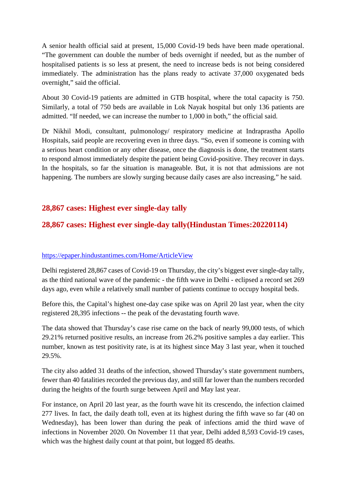A senior health official said at present, 15,000 Covid-19 beds have been made operational. "The government can double the number of beds overnight if needed, but as the number of hospitalised patients is so less at present, the need to increase beds is not being considered immediately. The administration has the plans ready to activate 37,000 oxygenated beds overnight," said the official.

About 30 Covid-19 patients are admitted in GTB hospital, where the total capacity is 750. Similarly, a total of 750 beds are available in Lok Nayak hospital but only 136 patients are admitted. "If needed, we can increase the number to 1,000 in both," the official said.

Dr Nikhil Modi, consultant, pulmonology/ respiratory medicine at Indraprastha Apollo Hospitals, said people are recovering even in three days. "So, even if someone is coming with a serious heart condition or any other disease, once the diagnosis is done, the treatment starts to respond almost immediately despite the patient being Covid-positive. They recover in days. In the hospitals, so far the situation is manageable. But, it is not that admissions are not happening. The numbers are slowly surging because daily cases are also increasing," he said.

## **28,867 cases: Highest ever single-day tally**

## **28,867 cases: Highest ever single-day tally(Hindustan Times:20220114)**

#### https://epaper.hindustantimes.com/Home/ArticleView

Delhi registered 28,867 cases of Covid-19 on Thursday, the city's biggest ever single-day tally, as the third national wave of the pandemic - the fifth wave in Delhi - eclipsed a record set 269 days ago, even while a relatively small number of patients continue to occupy hospital beds.

Before this, the Capital's highest one-day case spike was on April 20 last year, when the city registered 28,395 infections -- the peak of the devastating fourth wave.

The data showed that Thursday's case rise came on the back of nearly 99,000 tests, of which 29.21% returned positive results, an increase from 26.2% positive samples a day earlier. This number, known as test positivity rate, is at its highest since May 3 last year, when it touched 29.5%.

The city also added 31 deaths of the infection, showed Thursday's state government numbers, fewer than 40 fatalities recorded the previous day, and still far lower than the numbers recorded during the heights of the fourth surge between April and May last year.

For instance, on April 20 last year, as the fourth wave hit its crescendo, the infection claimed 277 lives. In fact, the daily death toll, even at its highest during the fifth wave so far (40 on Wednesday), has been lower than during the peak of infections amid the third wave of infections in November 2020. On November 11 that year, Delhi added 8,593 Covid-19 cases, which was the highest daily count at that point, but logged 85 deaths.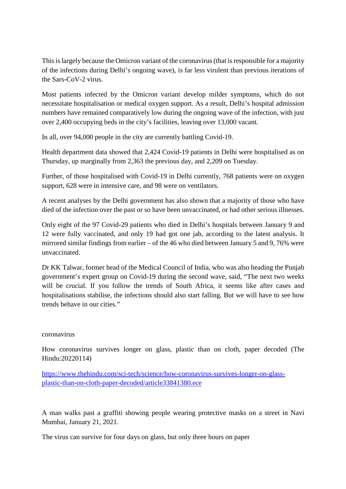This is largely because the Omicron variant of the coronavirus (that is responsible for a majority of the infections during Delhi's ongoing wave), is far less virulent than previous iterations of the Sars-CoV-2 virus.

Most patients infected by the Omicron variant develop milder symptoms, which do not necessitate hospitalisation or medical oxygen support. As a result, Delhi's hospital admission numbers have remained comparatively low during the ongoing wave of the infection, with just over 2,400 occupying beds in the city's facilities, leaving over 13,000 vacant.

In all, over 94,000 people in the city are currently battling Covid-19.

Health department data showed that 2,424 Covid-19 patients in Delhi were hospitalised as on Thursday, up marginally from 2,363 the previous day, and 2,209 on Tuesday.

Further, of those hospitalised with Covid-19 in Delhi currently, 768 patients were on oxygen support, 628 were in intensive care, and 98 were on ventilators.

A recent analyses by the Delhi government has also shown that a majority of those who have died of the infection over the past or so have been unvaccinated, or had other serious illnesses.

Only eight of the 97 Covid-29 patients who died in Delhi's hospitals between January 9 and 12 were fully vaccinated, and only 19 had got one jab, according to the latest analysis. It mirrored similar findings from earlier – of the 46 who died between January 5 and 9, 76% were unvaccinated.

Dr KK Talwar, former head of the Medical Council of India, who was also heading the Punjab government's expert group on Covid-19 during the second wave, said, "The next two weeks will be crucial. If you follow the trends of South Africa, it seems like after cases and hospitalisations stabilise, the infections should also start falling. But we will have to see how trends behave in our cities."

#### coronavirus

How coronavirus survives longer on glass, plastic than on cloth, paper decoded (The Hindu:20220114)

https://www.thehindu.com/sci-tech/science/how-coronavirus-survives-longer-on-glassplastic-than-on-cloth-paper-decoded/article33841380.ece

A man walks past a graffiti showing people wearing protective masks on a street in Navi Mumbai, January 21, 2021.

The virus can survive for four days on glass, but only three hours on paper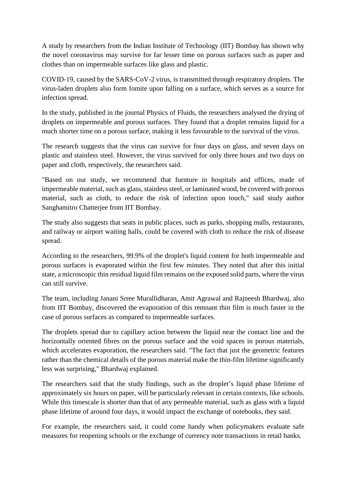A study by researchers from the Indian Institute of Technology (IIT) Bombay has shown why the novel coronavirus may survive for far lesser time on porous surfaces such as paper and clothes than on impermeable surfaces like glass and plastic.

COVID-19, caused by the SARS-CoV-2 virus, is transmitted through respiratory droplets. The virus-laden droplets also form fomite upon falling on a surface, which serves as a source for infection spread.

In the study, published in the journal Physics of Fluids, the researchers analysed the drying of droplets on impermeable and porous surfaces. They found that a droplet remains liquid for a much shorter time on a porous surface, making it less favourable to the survival of the virus.

The research suggests that the virus can survive for four days on glass, and seven days on plastic and stainless steel. However, the virus survived for only three hours and two days on paper and cloth, respectively, the researchers said.

"Based on our study, we recommend that furnture in hospitals and offices, made of impermeable material, such as glass, stainless steel, or laminated wood, be covered with porous material, such as cloth, to reduce the risk of infection upon touch," said study author Sanghamitro Chatterjee from IIT Bombay.

The study also suggests that seats in public places, such as parks, shopping malls, restaurants, and railway or airport waiting halls, could be covered with cloth to reduce the risk of disease spread.

According to the researchers, 99.9% of the droplet's liquid content for both impermeable and porous surfaces is evaporated within the first few minutes. They noted that after this initial state, a microscopic thin residual liquid film remains on the exposed solid parts, where the virus can still survive.

The team, including Janani Srree Murallidharan, Amit Agrawal and Rajneesh Bhardwaj, also from IIT Bombay, discovered the evaporation of this remnant thin film is much faster in the case of porous surfaces as compared to impermeable surfaces.

The droplets spread due to capillary action between the liquid near the contact line and the horizontally oriented fibres on the porous surface and the void spaces in porous materials, which accelerates evaporation, the researchers said. "The fact that just the geometric features rather than the chemical details of the porous material make the thin-film lifetime significantly less was surprising," Bhardwaj explained.

The researchers said that the study findings, such as the droplet's liquid phase lifetime of approximately six hours on paper, will be particularly relevant in certain contexts, like schools. While this timescale is shorter than that of any permeable material, such as glass with a liquid phase lifetime of around four days, it would impact the exchange of notebooks, they said.

For example, the researchers said, it could come handy when policymakers evaluate safe measures for reopening schools or the exchange of currency note transactions in retail banks.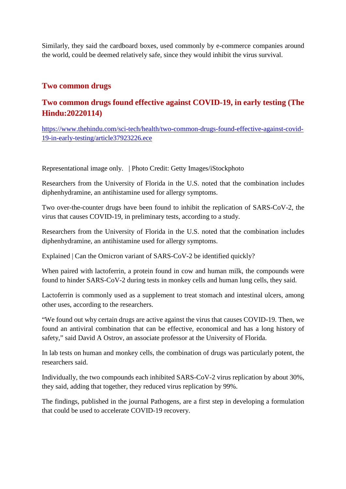Similarly, they said the cardboard boxes, used commonly by e-commerce companies around the world, could be deemed relatively safe, since they would inhibit the virus survival.

### **Two common drugs**

## **Two common drugs found effective against COVID-19, in early testing (The Hindu:20220114)**

https://www.thehindu.com/sci-tech/health/two-common-drugs-found-effective-against-covid-19-in-early-testing/article37923226.ece

Representational image only. | Photo Credit: Getty Images/iStockphoto

Researchers from the University of Florida in the U.S. noted that the combination includes diphenhydramine, an antihistamine used for allergy symptoms.

Two over-the-counter drugs have been found to inhibit the replication of SARS-CoV-2, the virus that causes COVID-19, in preliminary tests, according to a study.

Researchers from the University of Florida in the U.S. noted that the combination includes diphenhydramine, an antihistamine used for allergy symptoms.

Explained | Can the Omicron variant of SARS-CoV-2 be identified quickly?

When paired with lactoferrin, a protein found in cow and human milk, the compounds were found to hinder SARS-CoV-2 during tests in monkey cells and human lung cells, they said.

Lactoferrin is commonly used as a supplement to treat stomach and intestinal ulcers, among other uses, according to the researchers.

"We found out why certain drugs are active against the virus that causes COVID-19. Then, we found an antiviral combination that can be effective, economical and has a long history of safety," said David A Ostrov, an associate professor at the University of Florida.

In lab tests on human and monkey cells, the combination of drugs was particularly potent, the researchers said.

Individually, the two compounds each inhibited SARS-CoV-2 virus replication by about 30%, they said, adding that together, they reduced virus replication by 99%.

The findings, published in the journal Pathogens, are a first step in developing a formulation that could be used to accelerate COVID-19 recovery.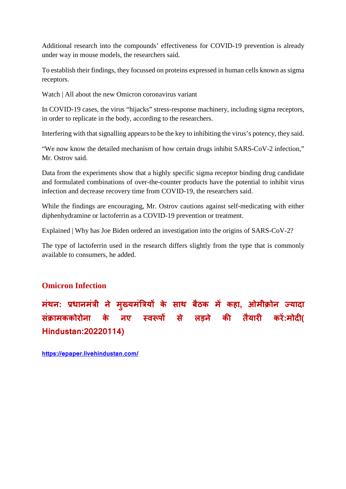Additional research into the compounds' effectiveness for COVID-19 prevention is already under way in mouse models, the researchers said.

To establish their findings, they focussed on proteins expressed in human cells known as sigma receptors.

Watch | All about the new Omicron coronavirus variant

In COVID-19 cases, the virus "hijacks" stress-response machinery, including sigma receptors, in order to replicate in the body, according to the researchers.

Interfering with that signalling appears to be the key to inhibiting the virus's potency, they said.

"We now know the detailed mechanism of how certain drugs inhibit SARS-CoV-2 infection," Mr. Ostrov said.

Data from the experiments show that a highly specific sigma receptor binding drug candidate and formulated combinations of over-the-counter products have the potential to inhibit virus infection and decrease recovery time from COVID-19, the researchers said.

While the findings are encouraging, Mr. Ostrov cautions against self-medicating with either diphenhydramine or lactoferrin as a COVID-19 prevention or treatment.

Explained | Why has Joe Biden ordered an investigation into the origins of SARS-CoV-2?

The type of lactoferrin used in the research differs slightly from the type that is commonly available to consumers, he added.

#### **Omicron Infection**

## **मंथन: धानमंी ने म ु यमंय के साथ बठै क म कहा, ओमी ोन यादा सं ामककोरोना के नए व प से लड़ने क तैयार कर :मोद( Hindustan:20220114)**

**https://epaper.livehindustan.com/**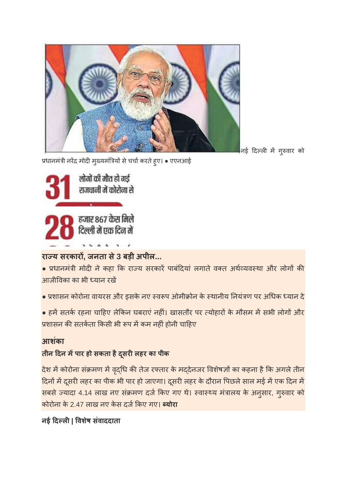

निई दिल्ली में गुरुवार को

प्रधानमंत्री नरेंद्र मोदी मुख्यमंत्रियों से चर्चा करते हुए। • एएनआई



# **राय सरकार, जनता से3 बड़ी अपील...**

• प्रधानमंत्री मोदी ने कहा कि राज्य सरकारें पाबंदियां लगाते वक्त अर्थव्यवस्था और लोगों की आजीवका का भी यान रख

• प्रशासन कोरोना वायरस और इसके नए स्वरूप ओमीक्रोन के स्थानीय नियंत्रण पर अधिक ध्यान दे

• हमें सतर्क रहना चाहिए लेकिन घबराएं नहीं। खासतौर पर त्योहारों के मौसम में सभी लोगों और प्रशासन की सतर्कता किसी भी रूप में कम नहीं होनी चाहिए

# **आशकं ा**

# **तीन दन मपार हो सकता हैदसू रलहर का पीक**

देश में कोरोना संक्रमण में वृद्धि की तेज रफ्तार के मद्देनजर विशेषज्ञों का कहना है कि अगले तीन दिनों में दूसरी लहर का पीक भी पार हो जाएगा। दूसरी लहर के दौरान पिछले साल मई में एक दिन में सबसे ज्यादा 4.14 लाख नए संक्रमण दर्ज किए गए थे। स्वास्थ्य मंत्रालय के अनुसार, गुरुवार को कोरोना के 2.47 लाख नए केस दजकए गए। **योरा**

# **नई दल| वशषे संवाददाता**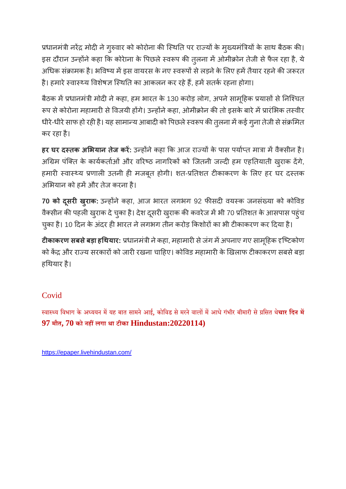प्रधानमंत्री नरेंद्र मोदी ने गुरुवार को कोरोना की स्थिति पर राज्यों के मुख्यमंत्रियों के साथ बैठक की। इस दौरान उन्होंने कहा कि कोरेाना के पिछले स्वरूप की तुलना में ओमीक्रोन तेजी से फैल रहा है, ये अधिक संक्रामक है। भविष्य में इस वायरस के नए स्वरूपों से लड़ने के लिए हमें तैयार रहने की जरूरत है। हमारे स्वास्थ्य विशेषज्ञ स्थिति का आकलन कर रहे हैं, हमें सतर्क रहना होगा।

बैठक में प्रधानमंत्री मोदी ने कहा, हम भारत के 130 करोड़ लोग, अपने सामूहिक प्रयासों से निश्चित रूप से कोरोना महामारी से विजयी होंगे। उन्होंने कहा, ओमीक्रोन की तो इसके बारे में प्रारंभिक तस्वीर धीरे-धीरे साफ हो रही है। यह सामान्य आबादी को पिछले स्वरूप की तुलना में कई गुना तेजी से संक्रमित कर रहा है।

**हर घर दतक अभयान तजे कर :** उहनेकहा क आज रायके पास पयात माा मवैसीन है। अग्रिम पंक्ति के कार्यकर्ताओं और वरिष्ठ नागरिकों को जितनी जल्दी हम एहतियाती खुराक देंगे, हमारी स्वास्थ्य प्रणाली उतनी ही मजबूत होगी। शत-प्रतिशत टीकाकरण के लिए हर घर दस्तक अभियान को हमें और तेज करना है।

70 को दूसरी ख़राक: उन्होंने कहा, आज भारत लगभग 92 फीसदी वयस्क जनसंख्या को कोविड वैक्सीन की पहली खुराक दे चुका है। देश दूसरी खुराक की कवरेज में भी 70 प्रतिशत के आसपास पहुंच चुका है। 10 दिन के अंदर ही भारत ने लगभग तीन करोड़ किशोरों का भी टीकाकरण कर दिया है।

**टीकाकरण सबसे बड़ा हथियार:** प्रधानमंत्री ने कहा, महामारी से जंग में अपनाए गए सामूहिक दृष्टिकोण को केंद्र और राज्य सरकारों को जारी रखना चाहिए। कोविड महामारी के खिलाफ टीकाकरण सबसे बड़ा हथयार है।

# Covid

स्वास्थ्य विभाग के अध्ययन में यह बात सामने आई, कोविड से मरने वालों में आधे गंभीर बीमारी से प्रसित थे**चार दिन में 97 मौत, 70 को नहलगा था टीका Hindustan:20220114)**

https://epaper.livehindustan.com/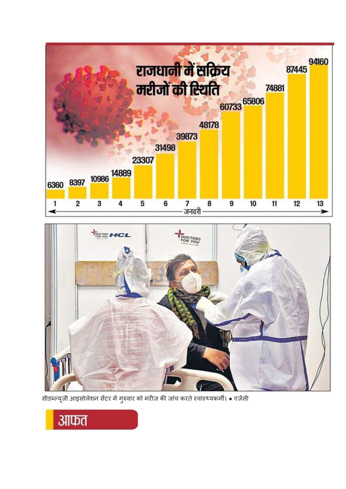



।<br>सीडब्ल्यूजी आइसोलेशन सेंटर में गुरुवार को मरीज की जांच करते स्वास्थ्यकर्मी। ● एजेंसी

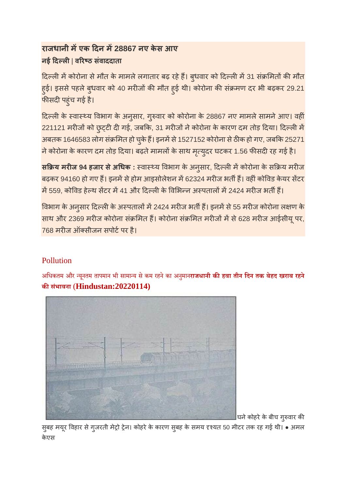# **राजधानी मएक दन म28867 नए केस आए नई दल**| **वरठ संवाददाता**

दिल्ली में कोरोना से मौत के मामले लगातार बढ़ रहे हैं। बुधवार को दिल्ली में 31 संक्रमितों की मौत हुई। इससे पहले बुधवार को 40 मरीजों की मौत हुई थी। कोरोना की संक्रमण दर भी बढ़कर 29.21 फीसदी पहुंच गई है।

दिल्ली के स्वास्थ्य विभाग के अनुसार, गुरुवार को कोरोना के 28867 नए मामले सामने आए। वहीं 221121 मरीजों को छुट्टी दी गई, जबकि, 31 मरीजों ने कोरोना के कारण दम तोड़ दिया। दिल्ली में अबतक 1646583 लोग संक्रमित हो चुके हैं। इनमें से 1527152 कोरोना से ठीक हो गए, जबकि 25271 ने कोरोना के कारण दम तोड़ दिया। बढ़ते मामलों के साथ मृत्युदर घटकर 1.56 फीसदी रह गई है।

**सक्रिय मरीज 94 हजार से अधिक**: स्वास्थ्य विभाग के अनुसार, दिल्ली में कोरोना के सक्रिय मरीज बढ़कर 94160 हो गए हैं। इनमें से होम आइसोलेशन में 62324 मरीज भर्ती हैं। वहीं कोविड केयर सेंटर में 559, कोविड हेल्थ सेंटर में 41 और दिल्ली के विभिन्न अस्पतालों में 2424 मरीज भर्ती हैं।

विभाग के अनुसार दिल्ली के अस्पतालों में 2424 मरीज भर्ती हैं। इनमें से 55 मरीज कोरोना लक्षण के साथ और 2369 मरीज कोरोना संक्रमित हैं। कोरोना संक्रमित मरीजों में से 628 मरीज आईसीयू पर, 768 मरीज ऑक्सीजन सपोर्ट पर है।

# Pollution

अिधकतम और यनूतम तापमान भी सामाय सेकम रहनेका अनमुान**राजधानी कहवा तीन िदन तक बेहद खराब रहने कसभं ावना** (**Hindustan:20220114)**



घने कोहरे के बीच गुरुवार की

सुबह मयूर विहार से गुजरती मेट्रो ट्रेन। कोहरे के कारण सुबह के समय दृश्यत 50 मीटर तक रह गई थी। • अमल केएस